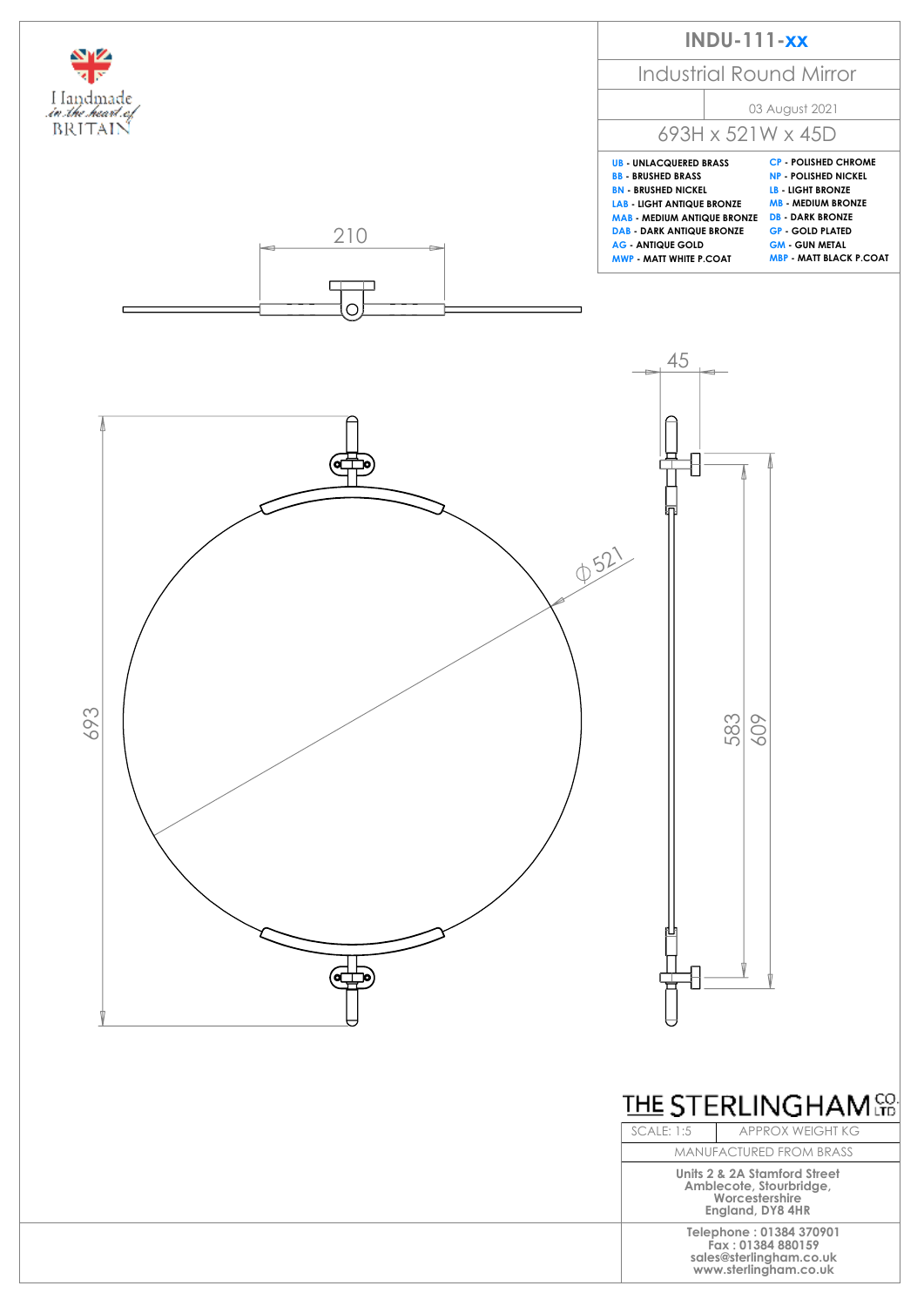